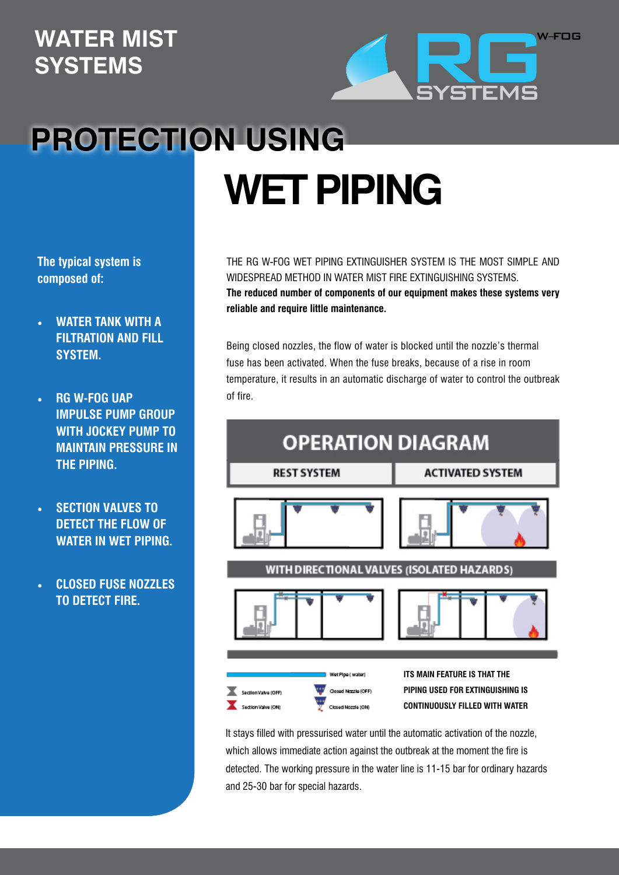## **WATER MIST SYSTEMS**



## **PROTECTION USING WET PIPING**

**The typical system is composed of:**

- **WATER TANK WITH A FILTRATION AND FILL SYSTEM.**
- **RG W-FOG UAP IMPULSE PUMP GROUP WITH JOCKEY PUMP TO MAINTAIN PRESSURE IN THE PIPING.**
- **SECTION VALVES TO DETECT THE FLOW OF WATER IN WET PIPING.**
- **• CLOSED FUSE nozzles TO DETECT FIRE.**

THE RG W-FOG WET PIPING EXTINGUISHER SYSTEM IS THE MOST SIMPLE AND WIDESPREAD METHOD IN WATER MIST FIRE EXTINGUISHING SYSTEMS. **The reduced number of components of our equipment makes these systems very reliable and require little maintenance.**

Being closed nozzles, the flow of water is blocked until the nozzle's thermal fuse has been activated. When the fuse breaks, because of a rise in room temperature, it results in an automatic discharge of water to control the outbreak of fire.



It stays filled with pressurised water until the automatic activation of the nozzle, which allows immediate action against the outbreak at the moment the fire is detected. The working pressure in the water line is 11-15 bar for ordinary hazards and 25-30 bar for special hazards.